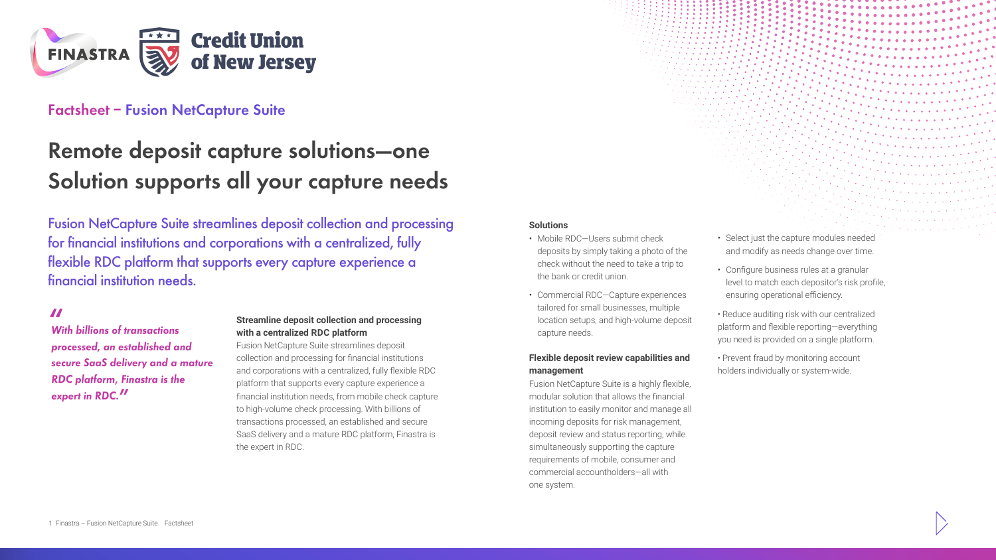

## **Factsheet – Fusion NetCapture Suite**

# **Remote deposit capture solutions—one Solution supports all your capture needs**

Fusion NetCapture Suite streamlines deposit collection and processing for financial institutions and corporations with a centralized, fully flexible RDC platform that supports every capture experience a financial institution needs.

## **"**

*With billions of transactions processed, an established and secure SaaS delivery and a mature RDC platform, Finastra is the expert in RDC.***"**

#### **Streamline deposit collection and processing with a centralized RDC platform**

Fusion NetCapture Suite streamlines deposit collection and processing for financial institutions and corporations with a centralized, fully flexible RDC platform that supports every capture experience a financial institution needs, from mobile check capture to high-volume check processing. With billions of transactions processed, an established and secure SaaS delivery and a mature RDC platform, Finastra is the expert in RDC.

#### **Solutions**

- Mobile RDC—Users submit check deposits by simply taking a photo of the check without the need to take a trip to the bank or credit union.
- Commercial RDC—Capture experiences tailored for small businesses, multiple location setups, and high-volume deposit capture needs.

#### **Flexible deposit review capabilities and management**

Fusion NetCapture Suite is a highly flexible, modular solution that allows the financial institution to easily monitor and manage all incoming deposits for risk management, deposit review and status reporting, while simultaneously supporting the capture requirements of mobile, consumer and commercial accountholders—all with one system.

- Select just the capture modules needed and modify as needs change over time.
- Configure business rules at a granular level to match each depositor's risk profile, ensuring operational efficiency.

• Reduce auditing risk with our centralized platform and flexible reporting—everything you need is provided on a single platform.

• Prevent fraud by monitoring account holders individually or system-wide.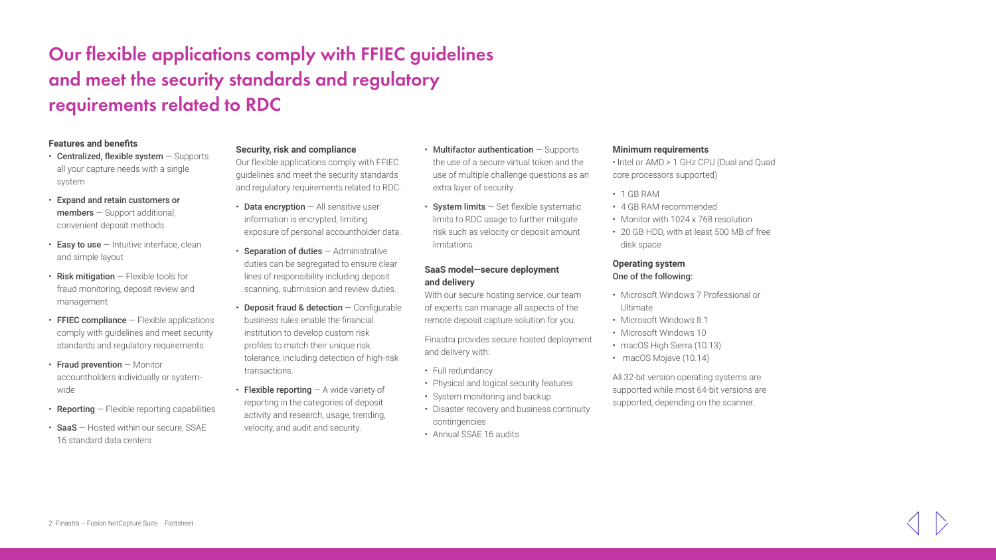## **Our flexible applications comply with FFIEC guidelines and meet the security standards and regulatory requirements related to RDC**

#### **Features and benefits**

- $\cdot$  Centralized, flexible system  $-$  Supports all your capture needs with a single system
- Expand and retain customers or members — Support additional, convenient deposit methods
- $\cdot$  Easy to use  $-$  Intuitive interface, clean and simple layout
- $\cdot$  Risk mitigation  $-$  Flexible tools for fraud monitoring, deposit review and management
- $\cdot$  FFIEC compliance  $-$  Flexible applications comply with guidelines and meet security standards and regulatory requirements
- Fraud prevention Monitor accountholders individually or systemwide
- $\cdot$  Reporting  $-$  Flexible reporting capabilities
- SaaS Hosted within our secure, SSAE 16 standard data centers

#### **Security, risk and compliance**

Our flexible applications comply with FFIEC guidelines and meet the security standards and regulatory requirements related to RDC.

- $\cdot$  Data encryption  $-$  All sensitive user information is encrypted, limiting exposure of personal accountholder data.
- Separation of duties Administrative duties can be segregated to ensure clear lines of responsibility including deposit scanning, submission and review duties.
- Deposit fraud & detection  $-$  Configurable business rules enable the financial institution to develop custom risk profiles to match their unique risk tolerance, including detection of high-risk transactions.
- Flexible reporting  $-$  A wide variety of reporting in the categories of deposit activity and research, usage, trending, velocity, and audit and security.
- $\cdot$  Multifactor authentication  $-$  Supports the use of a secure virtual token and the use of multiple challenge questions as an extra layer of security.
- System limits  $-$  Set flexible systematic limits to RDC usage to further mitigate risk such as velocity or deposit amount limitations.

### **SaaS model—secure deployment and delivery**

With our secure hosting service, our team of [e](http://www.finastra.com/)xperts can manage all aspects of the remote deposit capture solution for you.

Finastra provides secure hosted deployment and delivery with:

- Full redundancy
- Physical and logical security features
- System monitoring and backup
- Disaster recovery and business continuity contingencies
- Annual SSAE 16 audits

#### **Minimum requirements**

• Intel or AMD > 1 GHz CPU (Dual and Quad core processors supported)

- 1 GB RAM
- 4 GB RAM recommended
- Monitor with 1024 x 768 resolution
- 20 GB HDD, with at least 500 MB of free disk space

#### **Operating system** One of the following:

- Microsoft Windows 7 Professional or Ultimate
- Microsoft Windows 8.1
- Microsoft Windows 10
- macOS High Sierra (10.13)
- macOS Mojave (10.14)

All 32-bit version operating systems are supported while most 64-bit versions are supported, depending on the scanner.